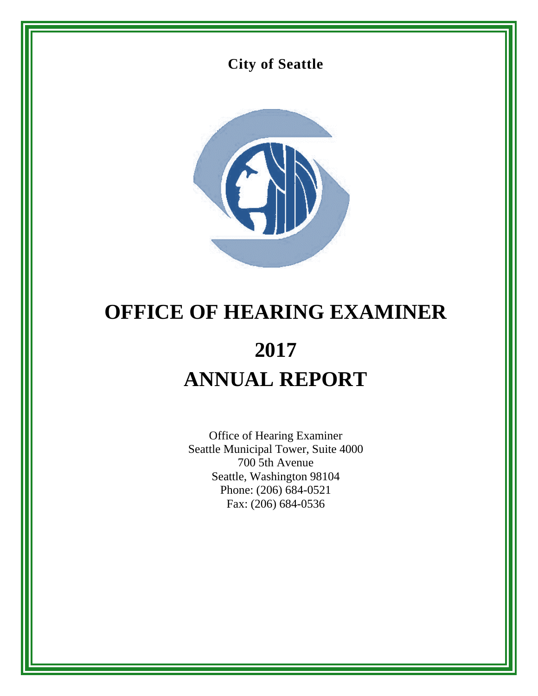



# **OFFICE OF HEARING EXAMINER 2017 ANNUAL REPORT**

Office of Hearing Examiner Seattle Municipal Tower, Suite 4000 700 5th Avenue Seattle, Washington 98104 Phone: (206) 684-0521 Fax: (206) 684-0536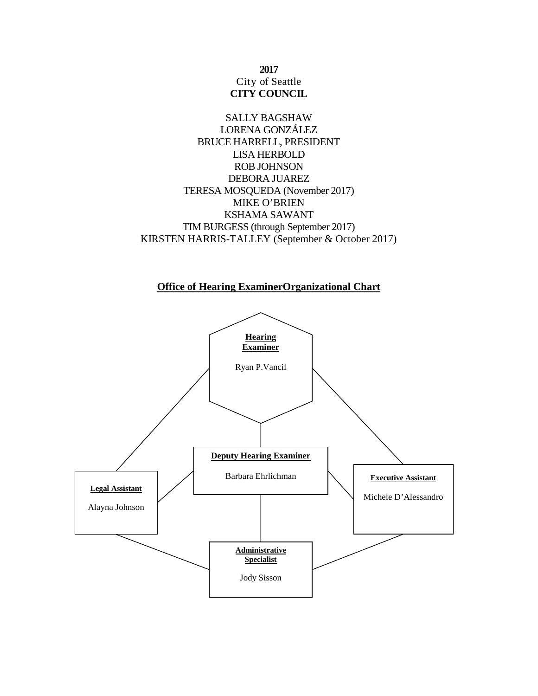**2017** City of Seattle **CITY COUNCIL**

SALLY BAGSHAW LORENA GONZÁLEZ BRUCE HARRELL, PRESIDENT LISA HERBOLD ROB JOHNSON DEBORA JUAREZ TERESA MOSQUEDA (November 2017) MIKE O'BRIEN KSHAMA SAWANT TIM BURGESS (through September 2017) KIRSTEN HARRIS-TALLEY (September & October 2017)

**Office of Hearing ExaminerOrganizational Chart**

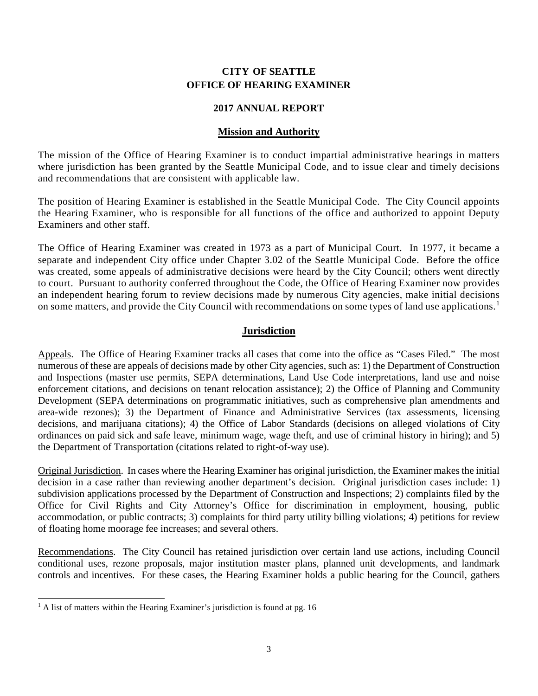# **CITY OF SEATTLE OFFICE OF HEARING EXAMINER**

## **2017 ANNUAL REPORT**

## **Mission and Authority**

The mission of the Office of Hearing Examiner is to conduct impartial administrative hearings in matters where jurisdiction has been granted by the Seattle Municipal Code, and to issue clear and timely decisions and recommendations that are consistent with applicable law.

The position of Hearing Examiner is established in the Seattle Municipal Code. The City Council appoints the Hearing Examiner, who is responsible for all functions of the office and authorized to appoint Deputy Examiners and other staff.

The Office of Hearing Examiner was created in 1973 as a part of Municipal Court. In 1977, it became a separate and independent City office under Chapter 3.02 of the Seattle Municipal Code. Before the office was created, some appeals of administrative decisions were heard by the City Council; others went directly to court. Pursuant to authority conferred throughout the Code, the Office of Hearing Examiner now provides an independent hearing forum to review decisions made by numerous City agencies, make initial decisions on some matters, and provide the City Council with recommendations on some types of land use applications.<sup>[1](#page-2-0)</sup>

# **Jurisdiction**

Appeals. The Office of Hearing Examiner tracks all cases that come into the office as "Cases Filed." The most numerous of these are appeals of decisions made by other City agencies, such as: 1) the Department of Construction and Inspections (master use permits, SEPA determinations, Land Use Code interpretations, land use and noise enforcement citations, and decisions on tenant relocation assistance); 2) the Office of Planning and Community Development (SEPA determinations on programmatic initiatives, such as comprehensive plan amendments and area-wide rezones); 3) the Department of Finance and Administrative Services (tax assessments, licensing decisions, and marijuana citations); 4) the Office of Labor Standards (decisions on alleged violations of City ordinances on paid sick and safe leave, minimum wage, wage theft, and use of criminal history in hiring); and 5) the Department of Transportation (citations related to right-of-way use).

Original Jurisdiction. In cases where the Hearing Examiner has original jurisdiction, the Examiner makes the initial decision in a case rather than reviewing another department's decision. Original jurisdiction cases include: 1) subdivision applications processed by the Department of Construction and Inspections; 2) complaints filed by the Office for Civil Rights and City Attorney's Office for discrimination in employment, housing, public accommodation, or public contracts; 3) complaints for third party utility billing violations; 4) petitions for review of floating home moorage fee increases; and several others.

Recommendations. The City Council has retained jurisdiction over certain land use actions, including Council conditional uses, rezone proposals, major institution master plans, planned unit developments, and landmark controls and incentives. For these cases, the Hearing Examiner holds a public hearing for the Council, gathers

<span id="page-2-0"></span> $<sup>1</sup>$  A list of matters within the Hearing Examiner's jurisdiction is found at pg. 16</sup>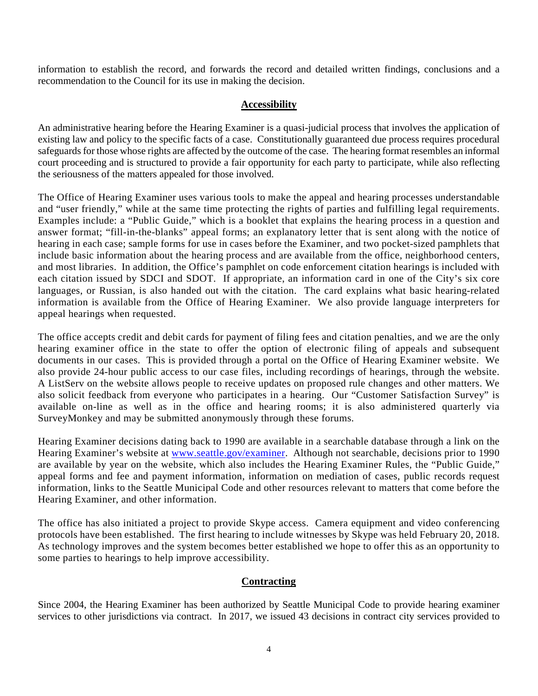information to establish the record, and forwards the record and detailed written findings, conclusions and a recommendation to the Council for its use in making the decision.

# **Accessibility**

An administrative hearing before the Hearing Examiner is a quasi-judicial process that involves the application of existing law and policy to the specific facts of a case. Constitutionally guaranteed due process requires procedural safeguards for those whose rights are affected by the outcome of the case. The hearing format resembles an informal court proceeding and is structured to provide a fair opportunity for each party to participate, while also reflecting the seriousness of the matters appealed for those involved.

The Office of Hearing Examiner uses various tools to make the appeal and hearing processes understandable and "user friendly," while at the same time protecting the rights of parties and fulfilling legal requirements. Examples include: a "Public Guide," which is a booklet that explains the hearing process in a question and answer format; "fill-in-the-blanks" appeal forms; an explanatory letter that is sent along with the notice of hearing in each case; sample forms for use in cases before the Examiner, and two pocket-sized pamphlets that include basic information about the hearing process and are available from the office, neighborhood centers, and most libraries. In addition, the Office's pamphlet on code enforcement citation hearings is included with each citation issued by SDCI and SDOT. If appropriate, an information card in one of the City's six core languages, or Russian, is also handed out with the citation. The card explains what basic hearing-related information is available from the Office of Hearing Examiner. We also provide language interpreters for appeal hearings when requested.

The office accepts credit and debit cards for payment of filing fees and citation penalties, and we are the only hearing examiner office in the state to offer the option of electronic filing of appeals and subsequent documents in our cases. This is provided through a portal on the Office of Hearing Examiner website. We also provide 24-hour public access to our case files, including recordings of hearings, through the website. A ListServ on the website allows people to receive updates on proposed rule changes and other matters. We also solicit feedback from everyone who participates in a hearing. Our "Customer Satisfaction Survey" is available on-line as well as in the office and hearing rooms; it is also administered quarterly via SurveyMonkey and may be submitted anonymously through these forums.

Hearing Examiner decisions dating back to 1990 are available in a searchable database through a link on the Hearing Examiner's website at [www.seattle.gov/examiner.](http://www.seattle.gov/examiner) Although not searchable, decisions prior to 1990 are available by year on the website, which also includes the Hearing Examiner Rules, the "Public Guide," appeal forms and fee and payment information, information on mediation of cases, public records request information, links to the Seattle Municipal Code and other resources relevant to matters that come before the Hearing Examiner, and other information.

The office has also initiated a project to provide Skype access. Camera equipment and video conferencing protocols have been established. The first hearing to include witnesses by Skype was held February 20, 2018. As technology improves and the system becomes better established we hope to offer this as an opportunity to some parties to hearings to help improve accessibility.

## **Contracting**

Since 2004, the Hearing Examiner has been authorized by Seattle Municipal Code to provide hearing examiner services to other jurisdictions via contract. In 2017, we issued 43 decisions in contract city services provided to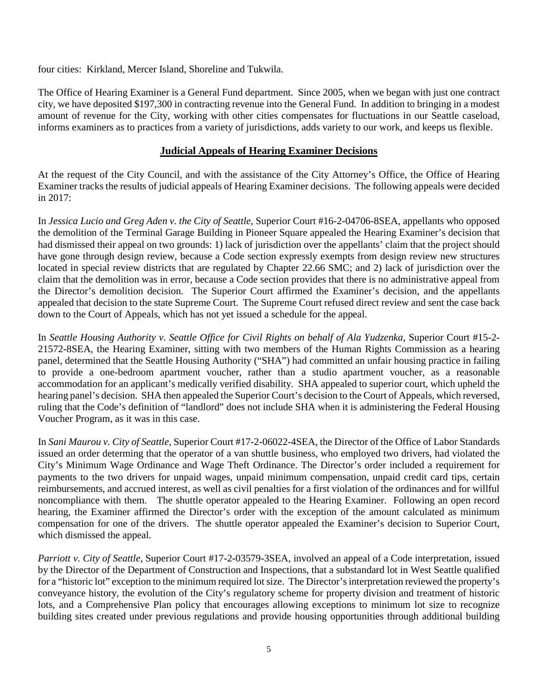four cities: Kirkland, Mercer Island, Shoreline and Tukwila.

The Office of Hearing Examiner is a General Fund department. Since 2005, when we began with just one contract city, we have deposited \$197,300 in contracting revenue into the General Fund. In addition to bringing in a modest amount of revenue for the City, working with other cities compensates for fluctuations in our Seattle caseload, informs examiners as to practices from a variety of jurisdictions, adds variety to our work, and keeps us flexible.

# **Judicial Appeals of Hearing Examiner Decisions**

At the request of the City Council, and with the assistance of the City Attorney's Office, the Office of Hearing Examiner tracks the results of judicial appeals of Hearing Examiner decisions. The following appeals were decided in 2017:

In *Jessica Lucio and Greg Aden v. the City of Seattle*, Superior Court #16-2-04706-8SEA, appellants who opposed the demolition of the Terminal Garage Building in Pioneer Square appealed the Hearing Examiner's decision that had dismissed their appeal on two grounds: 1) lack of jurisdiction over the appellants' claim that the project should have gone through design review, because a Code section expressly exempts from design review new structures located in special review districts that are regulated by Chapter 22.66 SMC; and 2) lack of jurisdiction over the claim that the demolition was in error, because a Code section provides that there is no administrative appeal from the Director's demolition decision. The Superior Court affirmed the Examiner's decision, and the appellants appealed that decision to the state Supreme Court. The Supreme Court refused direct review and sent the case back down to the Court of Appeals, which has not yet issued a schedule for the appeal.

In *Seattle Housing Authority v. Seattle Office for Civil Rights on behalf of Ala Yudzenka*, Superior Court #15-2- 21572-8SEA, the Hearing Examiner, sitting with two members of the Human Rights Commission as a hearing panel, determined that the Seattle Housing Authority ("SHA") had committed an unfair housing practice in failing to provide a one-bedroom apartment voucher, rather than a studio apartment voucher, as a reasonable accommodation for an applicant's medically verified disability. SHA appealed to superior court, which upheld the hearing panel's decision. SHA then appealed the Superior Court's decision to the Court of Appeals, which reversed, ruling that the Code's definition of "landlord" does not include SHA when it is administering the Federal Housing Voucher Program, as it was in this case.

In *Sani Maurou v. City of Seattle*, Superior Court #17-2-06022-4SEA, the Director of the Office of Labor Standards issued an order determing that the operator of a van shuttle business, who employed two drivers, had violated the City's Minimum Wage Ordinance and Wage Theft Ordinance. The Director's order included a requirement for payments to the two drivers for unpaid wages, unpaid minimum compensation, unpaid credit card tips, certain reimbursements, and accrued interest, as well as civil penalties for a first violation of the ordinances and for willful noncompliance with them. The shuttle operator appealed to the Hearing Examiner. Following an open record hearing, the Examiner affirmed the Director's order with the exception of the amount calculated as minimum compensation for one of the drivers. The shuttle operator appealed the Examiner's decision to Superior Court, which dismissed the appeal.

*Parriott v. City of Seattle*, Superior Court #17-2-03579-3SEA, involved an appeal of a Code interpretation, issued by the Director of the Department of Construction and Inspections, that a substandard lot in West Seattle qualified for a "historic lot" exception to the minimum required lot size. The Director's interpretation reviewed the property's conveyance history, the evolution of the City's regulatory scheme for property division and treatment of historic lots, and a Comprehensive Plan policy that encourages allowing exceptions to minimum lot size to recognize building sites created under previous regulations and provide housing opportunities through additional building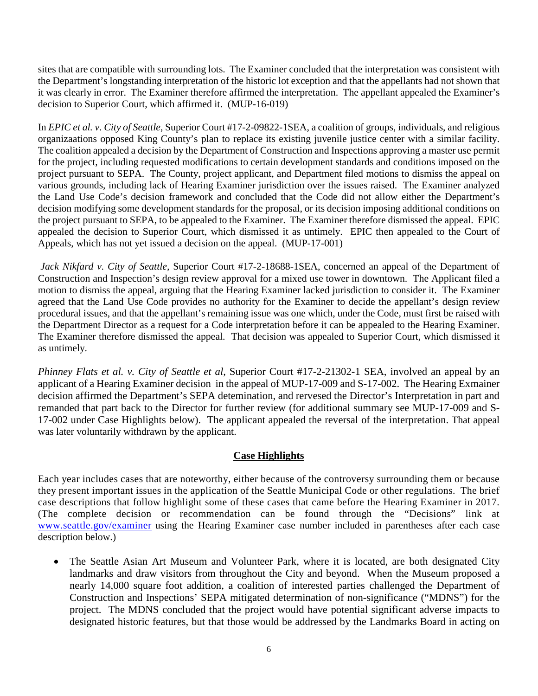sites that are compatible with surrounding lots. The Examiner concluded that the interpretation was consistent with the Department's longstanding interpretation of the historic lot exception and that the appellants had not shown that it was clearly in error. The Examiner therefore affirmed the interpretation. The appellant appealed the Examiner's decision to Superior Court, which affirmed it. (MUP-16-019)

In *EPIC et al. v. City of Seattle*, Superior Court #17-2-09822-1SEA, a coalition of groups, individuals, and religious organizaations opposed King County's plan to replace its existing juvenile justice center with a similar facility. The coalition appealed a decision by the Department of Construction and Inspections approving a master use permit for the project, including requested modifications to certain development standards and conditions imposed on the project pursuant to SEPA. The County, project applicant, and Department filed motions to dismiss the appeal on various grounds, including lack of Hearing Examiner jurisdiction over the issues raised. The Examiner analyzed the Land Use Code's decision framework and concluded that the Code did not allow either the Department's decision modifying some development standards for the proposal, or its decision imposing additional conditions on the project pursuant to SEPA, to be appealed to the Examiner. The Examiner therefore dismissed the appeal. EPIC appealed the decision to Superior Court, which dismissed it as untimely. EPIC then appealed to the Court of Appeals, which has not yet issued a decision on the appeal. (MUP-17-001)

*Jack Nikfard v. City of Seattle,* Superior Court #17-2-18688-1SEA, concerned an appeal of the Department of Construction and Inspection's design review approval for a mixed use tower in downtown. The Applicant filed a motion to dismiss the appeal, arguing that the Hearing Examiner lacked jurisdiction to consider it. The Examiner agreed that the Land Use Code provides no authority for the Examiner to decide the appellant's design review procedural issues, and that the appellant's remaining issue was one which, under the Code, must first be raised with the Department Director as a request for a Code interpretation before it can be appealed to the Hearing Examiner. The Examiner therefore dismissed the appeal. That decision was appealed to Superior Court, which dismissed it as untimely.

*Phinney Flats et al. v. City of Seattle et al*, Superior Court #17-2-21302-1 SEA, involved an appeal by an applicant of a Hearing Examiner decision in the appeal of MUP-17-009 and S-17-002. The Hearing Exmainer decision affirmed the Department's SEPA detemination, and rervesed the Director's Interpretation in part and remanded that part back to the Director for further review (for additional summary see MUP-17-009 and S-17-002 under Case Highlights below). The applicant appealed the reversal of the interpretation. That appeal was later voluntarily withdrawn by the applicant.

# **Case Highlights**

Each year includes cases that are noteworthy, either because of the controversy surrounding them or because they present important issues in the application of the Seattle Municipal Code or other regulations. The brief case descriptions that follow highlight some of these cases that came before the Hearing Examiner in 2017. (The complete decision or recommendation can be found through the "Decisions" link at [www.seattle.gov/examiner](http://www.seattle.gov/examiner) using the Hearing Examiner case number included in parentheses after each case description below.)

• The Seattle Asian Art Museum and Volunteer Park, where it is located, are both designated City landmarks and draw visitors from throughout the City and beyond. When the Museum proposed a nearly 14,000 square foot addition, a coalition of interested parties challenged the Department of Construction and Inspections' SEPA mitigated determination of non-significance ("MDNS") for the project. The MDNS concluded that the project would have potential significant adverse impacts to designated historic features, but that those would be addressed by the Landmarks Board in acting on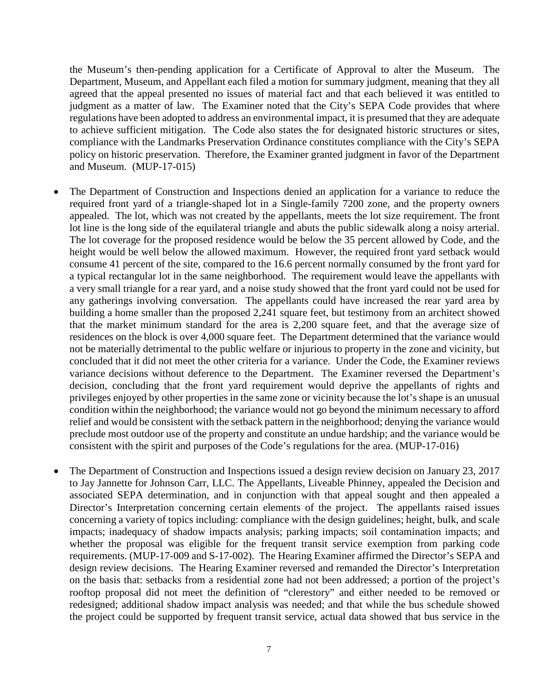the Museum's then-pending application for a Certificate of Approval to alter the Museum. The Department, Museum, and Appellant each filed a motion for summary judgment, meaning that they all agreed that the appeal presented no issues of material fact and that each believed it was entitled to judgment as a matter of law. The Examiner noted that the City's SEPA Code provides that where regulations have been adopted to address an environmental impact, it is presumed that they are adequate to achieve sufficient mitigation. The Code also states the for designated historic structures or sites, compliance with the Landmarks Preservation Ordinance constitutes compliance with the City's SEPA policy on historic preservation. Therefore, the Examiner granted judgment in favor of the Department and Museum. (MUP-17-015)

- The Department of Construction and Inspections denied an application for a variance to reduce the required front yard of a triangle-shaped lot in a Single-family 7200 zone, and the property owners appealed. The lot, which was not created by the appellants, meets the lot size requirement. The front lot line is the long side of the equilateral triangle and abuts the public sidewalk along a noisy arterial. The lot coverage for the proposed residence would be below the 35 percent allowed by Code, and the height would be well below the allowed maximum. However, the required front yard setback would consume 41 percent of the site, compared to the 16.6 percent normally consumed by the front yard for a typical rectangular lot in the same neighborhood. The requirement would leave the appellants with a very small triangle for a rear yard, and a noise study showed that the front yard could not be used for any gatherings involving conversation. The appellants could have increased the rear yard area by building a home smaller than the proposed 2,241 square feet, but testimony from an architect showed that the market minimum standard for the area is 2,200 square feet, and that the average size of residences on the block is over 4,000 square feet. The Department determined that the variance would not be materially detrimental to the public welfare or injurious to property in the zone and vicinity, but concluded that it did not meet the other criteria for a variance. Under the Code, the Examiner reviews variance decisions without deference to the Department. The Examiner reversed the Department's decision, concluding that the front yard requirement would deprive the appellants of rights and privileges enjoyed by other properties in the same zone or vicinity because the lot's shape is an unusual condition within the neighborhood; the variance would not go beyond the minimum necessary to afford relief and would be consistent with the setback pattern in the neighborhood; denying the variance would preclude most outdoor use of the property and constitute an undue hardship; and the variance would be consistent with the spirit and purposes of the Code's regulations for the area. (MUP-17-016)
- The Department of Construction and Inspections issued a design review decision on January 23, 2017 to Jay Jannette for Johnson Carr, LLC. The Appellants, Liveable Phinney, appealed the Decision and associated SEPA determination, and in conjunction with that appeal sought and then appealed a Director's Interpretation concerning certain elements of the project. The appellants raised issues concerning a variety of topics including: compliance with the design guidelines; height, bulk, and scale impacts; inadequacy of shadow impacts analysis; parking impacts; soil contamination impacts; and whether the proposal was eligible for the frequent transit service exemption from parking code requirements. (MUP-17-009 and S-17-002). The Hearing Examiner affirmed the Director's SEPA and design review decisions. The Hearing Examiner reversed and remanded the Director's Interpretation on the basis that: setbacks from a residential zone had not been addressed; a portion of the project's rooftop proposal did not meet the definition of "clerestory" and either needed to be removed or redesigned; additional shadow impact analysis was needed; and that while the bus schedule showed the project could be supported by frequent transit service, actual data showed that bus service in the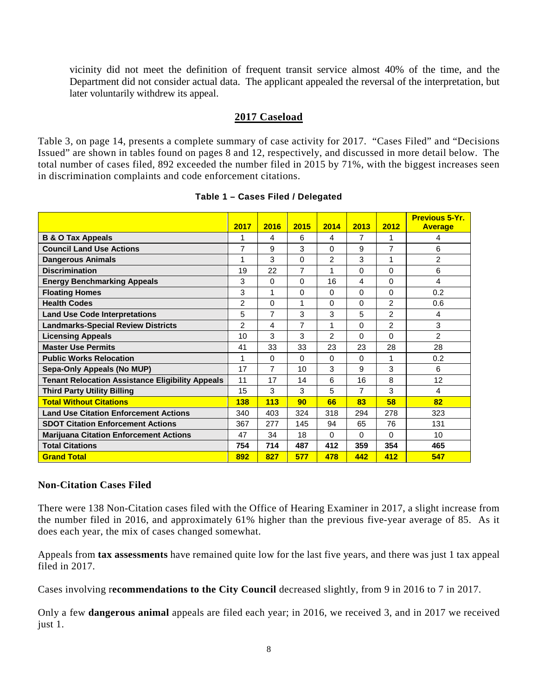vicinity did not meet the definition of frequent transit service almost 40% of the time, and the Department did not consider actual data. The applicant appealed the reversal of the interpretation, but later voluntarily withdrew its appeal.

## **2017 Caseload**

Table 3, on page 14, presents a complete summary of case activity for 2017. "Cases Filed" and "Decisions Issued" are shown in tables found on pages 8 and 12, respectively, and discussed in more detail below. The total number of cases filed, 892 exceeded the number filed in 2015 by 71%, with the biggest increases seen in discrimination complaints and code enforcement citations.

|                                                         | 2017           | 2016           | 2015           | 2014     | 2013           | 2012           | <b>Previous 5-Yr.</b><br><b>Average</b> |
|---------------------------------------------------------|----------------|----------------|----------------|----------|----------------|----------------|-----------------------------------------|
| <b>B &amp; O Tax Appeals</b>                            | 1              | 4              | 6              | 4        | $\overline{7}$ | 1              | 4                                       |
| <b>Council Land Use Actions</b>                         | 7              | 9              | 3              | $\Omega$ | 9              | $\overline{7}$ | 6                                       |
| <b>Dangerous Animals</b>                                | 1              | 3              | 0              | 2        | 3              | 1              | $\overline{2}$                          |
| <b>Discrimination</b>                                   | 19             | 22             | $\overline{7}$ | 1        | $\Omega$       | $\Omega$       | 6                                       |
| <b>Energy Benchmarking Appeals</b>                      | 3              | $\Omega$       | 0              | 16       | 4              | $\Omega$       | 4                                       |
| <b>Floating Homes</b>                                   | 3              | 1              | 0              | $\Omega$ | $\Omega$       | $\Omega$       | 0.2                                     |
| <b>Health Codes</b>                                     | $\overline{2}$ | $\Omega$       |                | 0        | $\Omega$       | $\overline{2}$ | 0.6                                     |
| <b>Land Use Code Interpretations</b>                    | 5              | $\overline{7}$ | 3              | 3        | 5              | $\overline{2}$ | 4                                       |
|                                                         | $\overline{2}$ |                | $\overline{7}$ | 1        | $\Omega$       | $\overline{2}$ | 3                                       |
| <b>Landmarks-Special Review Districts</b>               |                | 4              |                |          |                |                |                                         |
| <b>Licensing Appeals</b>                                | 10             | 3              | 3              | 2        | $\Omega$       | $\Omega$       | $\overline{c}$                          |
| <b>Master Use Permits</b>                               | 41             | 33             | 33             | 23       | 23             | 28             | 28                                      |
| <b>Public Works Relocation</b>                          |                | $\Omega$       | $\Omega$       | $\Omega$ | $\Omega$       | 1              | 0.2                                     |
| Sepa-Only Appeals (No MUP)                              | 17             | $\overline{7}$ | 10             | 3        | 9              | 3              | 6                                       |
| <b>Tenant Relocation Assistance Eligibility Appeals</b> | 11             | 17             | 14             | 6        | 16             | 8              | 12                                      |
| <b>Third Party Utility Billing</b>                      | 15             | 3              | 3              | 5        | $\overline{7}$ | 3              | 4                                       |
| <b>Total Without Citations</b>                          | 138            | 113            | 90             | 66       | 83             | 58             | 82                                      |
| <b>Land Use Citation Enforcement Actions</b>            | 340            | 403            | 324            | 318      | 294            | 278            | 323                                     |
| <b>SDOT Citation Enforcement Actions</b>                | 367            | 277            | 145            | 94       | 65             | 76             | 131                                     |
| <b>Marijuana Citation Enforcement Actions</b>           | 47             | 34             | 18             | $\Omega$ | $\Omega$       | $\Omega$       | 10                                      |
| <b>Total Citations</b>                                  | 754            | 714            | 487            | 412      | 359            | 354            | 465                                     |
| <b>Grand Total</b>                                      | 892            | 827            | 577            | 478      | 442            | 412            | 547                                     |

## **Table 1 – Cases Filed / Delegated**

# **Non-Citation Cases Filed**

There were 138 Non-Citation cases filed with the Office of Hearing Examiner in 2017, a slight increase from the number filed in 2016, and approximately 61% higher than the previous five-year average of 85. As it does each year, the mix of cases changed somewhat.

Appeals from **tax assessments** have remained quite low for the last five years, and there was just 1 tax appeal filed in 2017.

Cases involving r**ecommendations to the City Council** decreased slightly, from 9 in 2016 to 7 in 2017.

Only a few **dangerous animal** appeals are filed each year; in 2016, we received 3, and in 2017 we received just 1.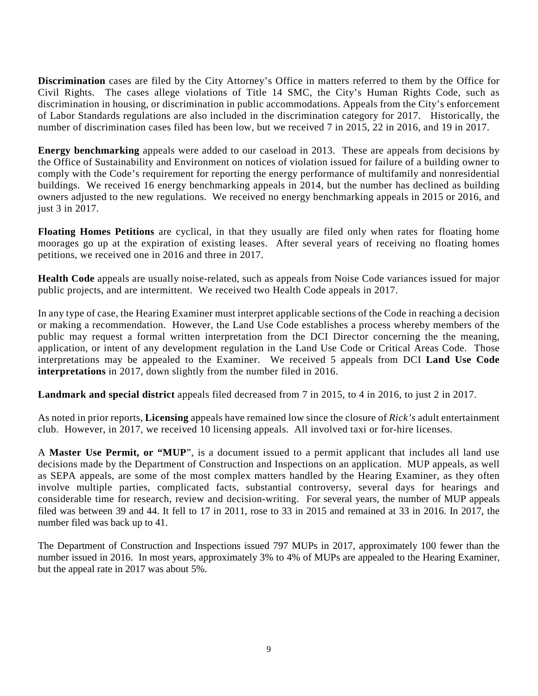**Discrimination** cases are filed by the City Attorney's Office in matters referred to them by the Office for Civil Rights. The cases allege violations of Title 14 SMC, the City's Human Rights Code, such as discrimination in housing, or discrimination in public accommodations. Appeals from the City's enforcement of Labor Standards regulations are also included in the discrimination category for 2017. Historically, the number of discrimination cases filed has been low, but we received 7 in 2015, 22 in 2016, and 19 in 2017.

**Energy benchmarking** appeals were added to our caseload in 2013. These are appeals from decisions by the Office of Sustainability and Environment on notices of violation issued for failure of a building owner to comply with the Code's requirement for reporting the energy performance of multifamily and nonresidential buildings. We received 16 energy benchmarking appeals in 2014, but the number has declined as building owners adjusted to the new regulations. We received no energy benchmarking appeals in 2015 or 2016, and just 3 in 2017.

**Floating Homes Petitions** are cyclical, in that they usually are filed only when rates for floating home moorages go up at the expiration of existing leases. After several years of receiving no floating homes petitions, we received one in 2016 and three in 2017.

**Health Code** appeals are usually noise-related, such as appeals from Noise Code variances issued for major public projects, and are intermittent. We received two Health Code appeals in 2017.

In any type of case, the Hearing Examiner must interpret applicable sections of the Code in reaching a decision or making a recommendation. However, the Land Use Code establishes a process whereby members of the public may request a formal written interpretation from the DCI Director concerning the the meaning, application, or intent of any development regulation in the Land Use Code or Critical Areas Code. Those interpretations may be appealed to the Examiner. We received 5 appeals from DCI **Land Use Code interpretations** in 2017, down slightly from the number filed in 2016.

**Landmark and special district** appeals filed decreased from 7 in 2015, to 4 in 2016, to just 2 in 2017.

As noted in prior reports, **Licensing** appeals have remained low since the closure of *Rick's* adult entertainment club. However, in 2017, we received 10 licensing appeals. All involved taxi or for-hire licenses.

A **Master Use Permit, or "MUP**", is a document issued to a permit applicant that includes all land use decisions made by the Department of Construction and Inspections on an application. MUP appeals, as well as SEPA appeals, are some of the most complex matters handled by the Hearing Examiner, as they often involve multiple parties, complicated facts, substantial controversy, several days for hearings and considerable time for research, review and decision-writing. For several years, the number of MUP appeals filed was between 39 and 44. It fell to 17 in 2011, rose to 33 in 2015 and remained at 33 in 2016. In 2017, the number filed was back up to 41.

The Department of Construction and Inspections issued 797 MUPs in 2017, approximately 100 fewer than the number issued in 2016. In most years, approximately 3% to 4% of MUPs are appealed to the Hearing Examiner, but the appeal rate in 2017 was about 5%.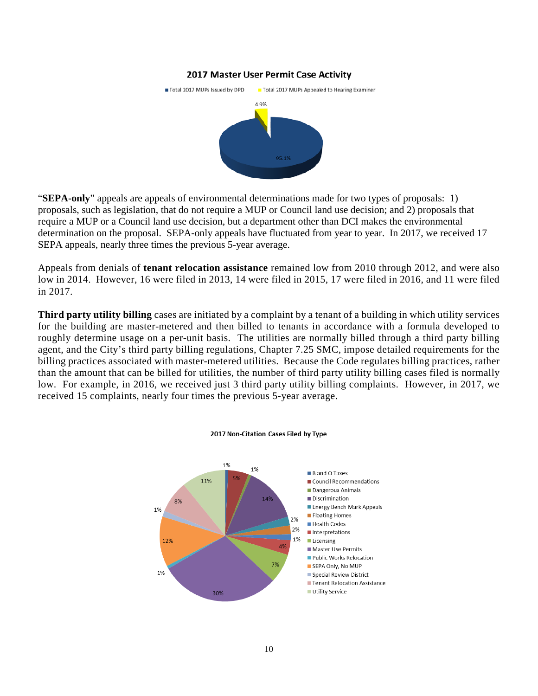#### 2017 Master User Permit Case Activity



"**SEPA-only**" appeals are appeals of environmental determinations made for two types of proposals: 1) proposals, such as legislation, that do not require a MUP or Council land use decision; and 2) proposals that require a MUP or a Council land use decision, but a department other than DCI makes the environmental determination on the proposal. SEPA-only appeals have fluctuated from year to year. In 2017, we received 17 SEPA appeals, nearly three times the previous 5-year average.

Appeals from denials of **tenant relocation assistance** remained low from 2010 through 2012, and were also low in 2014. However, 16 were filed in 2013, 14 were filed in 2015, 17 were filed in 2016, and 11 were filed in 2017.

**Third party utility billing** cases are initiated by a complaint by a tenant of a building in which utility services for the building are master-metered and then billed to tenants in accordance with a formula developed to roughly determine usage on a per-unit basis. The utilities are normally billed through a third party billing agent, and the City's third party billing regulations, Chapter 7.25 SMC, impose detailed requirements for the billing practices associated with master-metered utilities. Because the Code regulates billing practices, rather than the amount that can be billed for utilities, the number of third party utility billing cases filed is normally low. For example, in 2016, we received just 3 third party utility billing complaints. However, in 2017, we received 15 complaints, nearly four times the previous 5-year average.



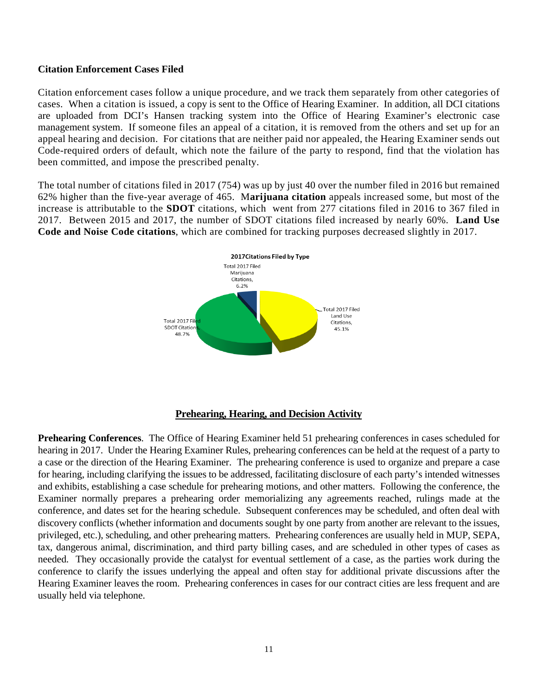## **Citation Enforcement Cases Filed**

Citation enforcement cases follow a unique procedure, and we track them separately from other categories of cases. When a citation is issued, a copy is sent to the Office of Hearing Examiner. In addition, all DCI citations are uploaded from DCI's Hansen tracking system into the Office of Hearing Examiner's electronic case management system. If someone files an appeal of a citation, it is removed from the others and set up for an appeal hearing and decision. For citations that are neither paid nor appealed, the Hearing Examiner sends out Code-required orders of default, which note the failure of the party to respond, find that the violation has been committed, and impose the prescribed penalty.

The total number of citations filed in 2017 (754) was up by just 40 over the number filed in 2016 but remained 62% higher than the five-year average of 465. M**arijuana citation** appeals increased some, but most of the increase is attributable to the **SDOT** citations, which went from 277 citations filed in 2016 to 367 filed in 2017. Between 2015 and 2017, the number of SDOT citations filed increased by nearly 60%. **Land Use Code and Noise Code citations**, which are combined for tracking purposes decreased slightly in 2017.



**Prehearing Conferences**. The Office of Hearing Examiner held 51 prehearing conferences in cases scheduled for hearing in 2017. Under the Hearing Examiner Rules, prehearing conferences can be held at the request of a party to a case or the direction of the Hearing Examiner. The prehearing conference is used to organize and prepare a case for hearing, including clarifying the issues to be addressed, facilitating disclosure of each party's intended witnesses and exhibits, establishing a case schedule for prehearing motions, and other matters. Following the conference, the Examiner normally prepares a prehearing order memorializing any agreements reached, rulings made at the conference, and dates set for the hearing schedule. Subsequent conferences may be scheduled, and often deal with discovery conflicts (whether information and documents sought by one party from another are relevant to the issues, privileged, etc.), scheduling, and other prehearing matters. Prehearing conferences are usually held in MUP, SEPA, tax, dangerous animal, discrimination, and third party billing cases, and are scheduled in other types of cases as needed. They occasionally provide the catalyst for eventual settlement of a case, as the parties work during the conference to clarify the issues underlying the appeal and often stay for additional private discussions after the Hearing Examiner leaves the room. Prehearing conferences in cases for our contract cities are less frequent and are usually held via telephone.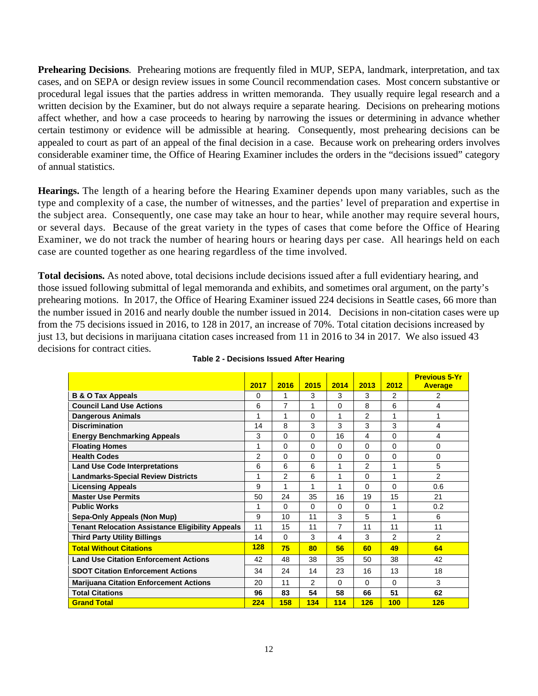**Prehearing Decisions**. Prehearing motions are frequently filed in MUP, SEPA, landmark, interpretation, and tax cases, and on SEPA or design review issues in some Council recommendation cases. Most concern substantive or procedural legal issues that the parties address in written memoranda. They usually require legal research and a written decision by the Examiner, but do not always require a separate hearing. Decisions on prehearing motions affect whether, and how a case proceeds to hearing by narrowing the issues or determining in advance whether certain testimony or evidence will be admissible at hearing. Consequently, most prehearing decisions can be appealed to court as part of an appeal of the final decision in a case. Because work on prehearing orders involves considerable examiner time, the Office of Hearing Examiner includes the orders in the "decisions issued" category of annual statistics.

**Hearings.** The length of a hearing before the Hearing Examiner depends upon many variables, such as the type and complexity of a case, the number of witnesses, and the parties' level of preparation and expertise in the subject area. Consequently, one case may take an hour to hear, while another may require several hours, or several days. Because of the great variety in the types of cases that come before the Office of Hearing Examiner, we do not track the number of hearing hours or hearing days per case. All hearings held on each case are counted together as one hearing regardless of the time involved.

**Total decisions.** As noted above, total decisions include decisions issued after a full evidentiary hearing, and those issued following submittal of legal memoranda and exhibits, and sometimes oral argument, on the party's prehearing motions. In 2017, the Office of Hearing Examiner issued 224 decisions in Seattle cases, 66 more than the number issued in 2016 and nearly double the number issued in 2014. Decisions in non-citation cases were up from the 75 decisions issued in 2016, to 128 in 2017, an increase of 70%. Total citation decisions increased by just 13, but decisions in marijuana citation cases increased from 11 in 2016 to 34 in 2017. We also issued 43 decisions for contract cities.

|                                                         | 2017 | 2016           | 2015           | 2014     | 2013           | 2012           | <b>Previous 5-Yr</b><br><b>Average</b> |
|---------------------------------------------------------|------|----------------|----------------|----------|----------------|----------------|----------------------------------------|
| <b>B &amp; O Tax Appeals</b>                            | 0    | 1              | 3              | 3        | 3              | 2              | 2                                      |
| <b>Council Land Use Actions</b>                         | 6    | 7              | 1              | 0        | 8              | 6              | 4                                      |
| <b>Dangerous Animals</b>                                |      | 1              | $\Omega$       | 1        | $\overline{2}$ | 1              |                                        |
| <b>Discrimination</b>                                   | 14   | 8              | 3              | 3        | 3              | 3              | 4                                      |
| <b>Energy Benchmarking Appeals</b>                      | 3    | $\Omega$       | $\Omega$       | 16       | 4              | $\Omega$       | 4                                      |
| <b>Floating Homes</b>                                   |      | $\Omega$       | $\Omega$       | $\Omega$ | $\Omega$       | $\Omega$       | 0                                      |
| <b>Health Codes</b>                                     | 2    | 0              | $\Omega$       | 0        | 0              | 0              | 0                                      |
| <b>Land Use Code Interpretations</b>                    | 6    | 6              | 6              | 1        | $\overline{2}$ | 1              | 5                                      |
| <b>Landmarks-Special Review Districts</b>               |      | $\overline{2}$ | 6              | 1        | 0              | 1              | $\overline{2}$                         |
| <b>Licensing Appeals</b>                                | 9    | 1              | 1              | 1        | 0              | $\Omega$       | 0.6                                    |
| <b>Master Use Permits</b>                               | 50   | 24             | 35             | 16       | 19             | 15             | 21                                     |
| <b>Public Works</b>                                     | 1    | $\Omega$       | $\Omega$       | 0        | $\Omega$       | 1              | 0.2                                    |
| Sepa-Only Appeals (Non Mup)                             | 9    | 10             | 11             | 3        | 5              | 1              | 6                                      |
| <b>Tenant Relocation Assistance Eligibility Appeals</b> | 11   | 15             | 11             | 7        | 11             | 11             | 11                                     |
| <b>Third Party Utility Billings</b>                     | 14   | $\Omega$       | 3              | 4        | 3              | $\mathfrak{p}$ | $\mathcal{P}$                          |
| <b>Total Without Citations</b>                          | 128  | 75             | 80             | 56       | 60             | 49             | 64                                     |
| <b>Land Use Citation Enforcement Actions</b>            | 42   | 48             | 38             | 35       | 50             | 38             | 42                                     |
| <b>SDOT Citation Enforcement Actions</b>                | 34   | 24             | 14             | 23       | 16             | 13             | 18                                     |
| <b>Marijuana Citation Enforcement Actions</b>           | 20   | 11             | $\overline{2}$ | 0        | $\Omega$       | $\Omega$       | 3                                      |
| <b>Total Citations</b>                                  | 96   | 83             | 54             | 58       | 66             | 51             | 62                                     |
| <b>Grand Total</b>                                      | 224  | 158            | 134            | 114      | 126            | 100            | 126                                    |

#### **Table 2 - Decisions Issued After Hearing**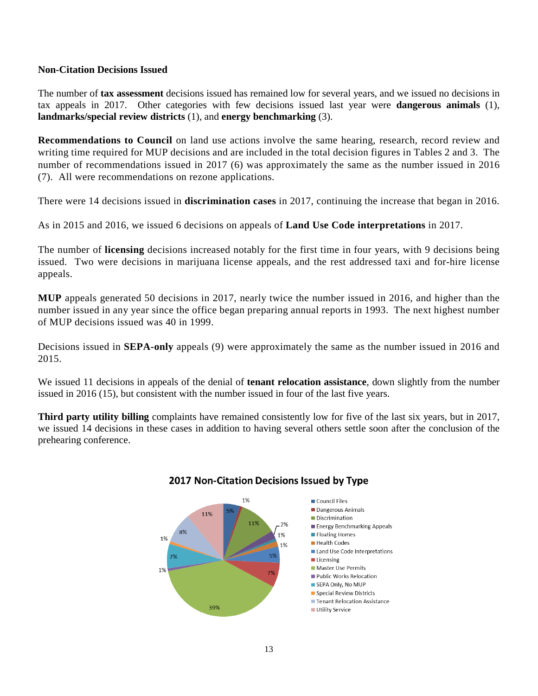## **Non-Citation Decisions Issued**

The number of **tax assessment** decisions issued has remained low for several years, and we issued no decisions in tax appeals in 2017. Other categories with few decisions issued last year were **dangerous animals** (1), **landmarks/special review districts** (1), and **energy benchmarking** (3).

**Recommendations to Council** on land use actions involve the same hearing, research, record review and writing time required for MUP decisions and are included in the total decision figures in Tables 2 and 3. The number of recommendations issued in 2017 (6) was approximately the same as the number issued in 2016 (7). All were recommendations on rezone applications.

There were 14 decisions issued in **discrimination cases** in 2017, continuing the increase that began in 2016.

As in 2015 and 2016, we issued 6 decisions on appeals of **Land Use Code interpretations** in 2017.

The number of **licensing** decisions increased notably for the first time in four years, with 9 decisions being issued. Two were decisions in marijuana license appeals, and the rest addressed taxi and for-hire license appeals.

**MUP** appeals generated 50 decisions in 2017, nearly twice the number issued in 2016, and higher than the number issued in any year since the office began preparing annual reports in 1993. The next highest number of MUP decisions issued was 40 in 1999.

Decisions issued in **SEPA-only** appeals (9) were approximately the same as the number issued in 2016 and 2015.

We issued 11 decisions in appeals of the denial of **tenant relocation assistance**, down slightly from the number issued in 2016 (15), but consistent with the number issued in four of the last five years.

**Third party utility billing** complaints have remained consistently low for five of the last six years, but in 2017, we issued 14 decisions in these cases in addition to having several others settle soon after the conclusion of the prehearing conference.



# 2017 Non-Citation Decisions Issued by Type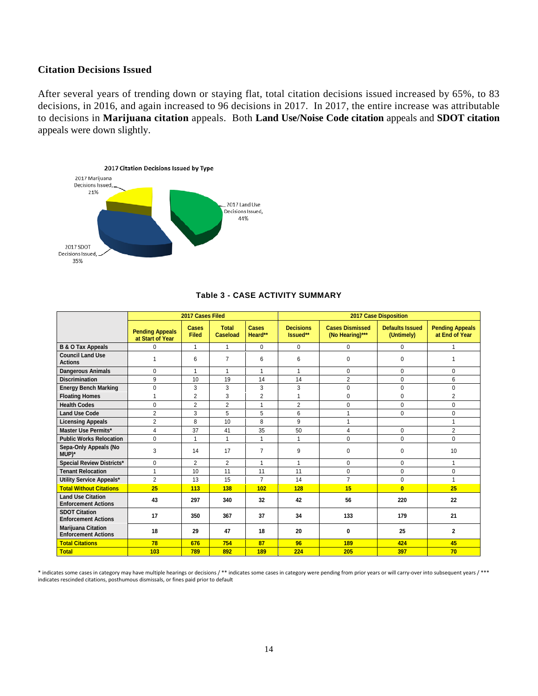# **Citation Decisions Issued**

After several years of trending down or staying flat, total citation decisions issued increased by 65%, to 83 decisions, in 2016, and again increased to 96 decisions in 2017. In 2017, the entire increase was attributable to decisions in **Marijuana citation** appeals. Both **Land Use/Noise Code citation** appeals and **SDOT citation**  appeals were down slightly.



|                                                         |                                            | 2017 Cases Filed      |                          |                  | <b>2017 Case Disposition</b> |                                           |                                      |                                          |  |  |
|---------------------------------------------------------|--------------------------------------------|-----------------------|--------------------------|------------------|------------------------------|-------------------------------------------|--------------------------------------|------------------------------------------|--|--|
|                                                         | <b>Pending Appeals</b><br>at Start of Year | Cases<br><b>Filed</b> | <b>Total</b><br>Caseload | Cases<br>Heard** | <b>Decisions</b><br>Issued** | <b>Cases Dismissed</b><br>(No Hearing)*** | <b>Defaults Issued</b><br>(Untimely) | <b>Pending Appeals</b><br>at End of Year |  |  |
| <b>B &amp; O Tax Appeals</b>                            | $\Omega$                                   | $\mathbf{1}$          | 1                        | $\mathbf 0$      | $\Omega$                     | $\mathbf 0$                               | $\Omega$                             | 1                                        |  |  |
| <b>Council Land Use</b><br><b>Actions</b>               |                                            | 6                     | $\overline{7}$           | 6                | 6                            | $\Omega$                                  | $\Omega$                             | 1                                        |  |  |
| <b>Dangerous Animals</b>                                | $\Omega$                                   | $\mathbf{1}$          | $\mathbf{1}$             | $\mathbf{1}$     | $\mathbf{1}$                 | $\Omega$                                  | $\Omega$                             | 0                                        |  |  |
| <b>Discrimination</b>                                   | 9                                          | 10                    | 19                       | 14               | 14                           | $\overline{2}$                            | $\Omega$                             | 6                                        |  |  |
| <b>Energy Bench Marking</b>                             | $\Omega$                                   | 3                     | 3                        | 3                | 3                            | $\mathbf{0}$                              | $\Omega$                             | 0                                        |  |  |
| <b>Floating Homes</b>                                   | $\overline{A}$                             | $\overline{2}$        | 3                        | $\overline{2}$   | 1                            | $\Omega$                                  | $\Omega$                             | $\overline{2}$                           |  |  |
| <b>Health Codes</b>                                     | $\mathbf 0$                                | $\overline{2}$        | $\overline{2}$           | 1                | $\overline{2}$               | 0                                         | 0                                    | 0                                        |  |  |
| <b>Land Use Code</b>                                    | $\overline{2}$                             | 3                     | 5                        | 5                | 6                            | 1                                         | $\Omega$                             | 0                                        |  |  |
| <b>Licensing Appeals</b>                                | $\overline{2}$                             | 8                     | 10                       | 8                | 9                            | 1                                         |                                      | 1                                        |  |  |
| <b>Master Use Permits*</b>                              | 4                                          | 37                    | 41                       | 35               | 50                           | 4                                         | $\Omega$                             | $\overline{2}$                           |  |  |
| <b>Public Works Relocation</b>                          | 0                                          | 1                     | $\mathbf{1}$             | $\mathbf{1}$     | 1                            | $\Omega$                                  | $\Omega$                             | 0                                        |  |  |
| Sepa-Only Appeals (No<br>MUP)*                          | 3                                          | 14                    | 17                       | $\overline{7}$   | 9                            | $\Omega$                                  | $\Omega$                             | 10                                       |  |  |
| Special Review Districts*                               | $\Omega$                                   | $\overline{2}$        | $\overline{2}$           | 1                | 1                            | $\Omega$                                  | $\Omega$                             | $\mathbf{1}$                             |  |  |
| <b>Tenant Relocation</b>                                | 1                                          | 10                    | 11                       | 11               | 11                           | $\mathbf 0$                               | $\Omega$                             | 0                                        |  |  |
| Utility Service Appeals*                                | $\overline{2}$                             | 13                    | 15                       | $\overline{7}$   | 14                           | $\overline{7}$                            | 0                                    | 1                                        |  |  |
| <b>Total Without Citations</b>                          | 25                                         | 113                   | 138                      | 102              | 128                          | 15                                        | $\overline{0}$                       | 25                                       |  |  |
| <b>Land Use Citation</b><br><b>Enforcement Actions</b>  | 43                                         | 297                   | 340                      | 32               | 42                           | 56                                        | 220                                  | 22                                       |  |  |
| <b>SDOT Citation</b><br><b>Enforcement Actions</b>      | 17                                         | 350                   | 367                      | 37               | 34                           | 133                                       | 179                                  | 21                                       |  |  |
| <b>Mariiuana Citation</b><br><b>Enforcement Actions</b> | 18                                         | 29                    | 47                       | 18               | 20                           | $\bf{0}$                                  | 25                                   | $\overline{\mathbf{2}}$                  |  |  |
| <b>Total Citations</b>                                  | 78                                         | 676                   | 754                      | 87               | 96                           | 189                                       | 424                                  | 45                                       |  |  |
| <b>Total</b>                                            | 103                                        | 789                   | 892                      | 189              | 224                          | 205                                       | 397                                  | 70                                       |  |  |

#### **Table 3 - CASE ACTIVITY SUMMARY**

\* indicates some cases in category may have multiple hearings or decisions / \*\* indicates some cases in category were pending from prior years or will carry-over into subsequent years / \*\*\* indicates rescinded citations, posthumous dismissals, or fines paid prior to default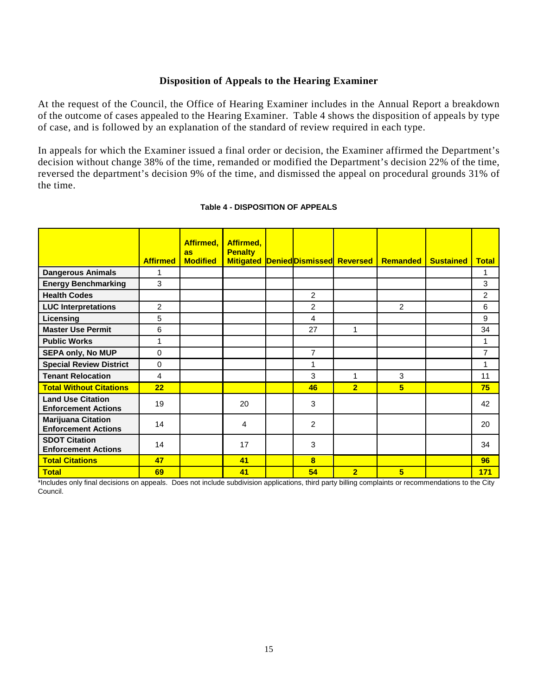## **Disposition of Appeals to the Hearing Examiner**

At the request of the Council, the Office of Hearing Examiner includes in the Annual Report a breakdown of the outcome of cases appealed to the Hearing Examiner. Table 4 shows the disposition of appeals by type of case, and is followed by an explanation of the standard of review required in each type.

In appeals for which the Examiner issued a final order or decision, the Examiner affirmed the Department's decision without change 38% of the time, remanded or modified the Department's decision 22% of the time, reversed the department's decision 9% of the time, and dismissed the appeal on procedural grounds 31% of the time.

|                                                         | <b>Affirmed</b> | Affirmed,<br>as<br><b>Modified</b> | Affirmed,<br><b>Penalty</b><br><b>Mitigated</b> |                | <b>Denied Dismissed Reversed</b> | <b>Remanded</b> | <b>Sustained</b> | <b>Total</b>   |
|---------------------------------------------------------|-----------------|------------------------------------|-------------------------------------------------|----------------|----------------------------------|-----------------|------------------|----------------|
| <b>Dangerous Animals</b>                                |                 |                                    |                                                 |                |                                  |                 |                  | 1              |
| <b>Energy Benchmarking</b>                              | 3               |                                    |                                                 |                |                                  |                 |                  | 3              |
| <b>Health Codes</b>                                     |                 |                                    |                                                 | 2              |                                  |                 |                  | $\overline{2}$ |
| <b>LUC Interpretations</b>                              | $\overline{2}$  |                                    |                                                 | $\overline{2}$ |                                  | $\overline{2}$  |                  | 6              |
| Licensing                                               | 5               |                                    |                                                 | 4              |                                  |                 |                  | 9              |
| <b>Master Use Permit</b>                                | 6               |                                    |                                                 | 27             | 1                                |                 |                  | 34             |
| <b>Public Works</b>                                     | 1               |                                    |                                                 |                |                                  |                 |                  | 1              |
| <b>SEPA only, No MUP</b>                                | $\Omega$        |                                    |                                                 | $\overline{7}$ |                                  |                 |                  | $\overline{7}$ |
| <b>Special Review District</b>                          | $\Omega$        |                                    |                                                 | 1              |                                  |                 |                  | 1              |
| <b>Tenant Relocation</b>                                | 4               |                                    |                                                 | 3              | 1                                | 3               |                  | 11             |
| <b>Total Without Citations</b>                          | 22              |                                    |                                                 | 46             | $\overline{2}$                   | 5               |                  | 75             |
| <b>Land Use Citation</b><br><b>Enforcement Actions</b>  | 19              |                                    | 20                                              | 3              |                                  |                 |                  | 42             |
| <b>Marijuana Citation</b><br><b>Enforcement Actions</b> | 14              |                                    | 4                                               | $\overline{2}$ |                                  |                 |                  | 20             |
| <b>SDOT Citation</b><br><b>Enforcement Actions</b>      | 14              |                                    | 17                                              | 3              |                                  |                 |                  | 34             |
| <b>Total Citations</b>                                  | 47              |                                    | 41                                              | 8              |                                  |                 |                  | 96             |
| <b>Total</b>                                            | 69              |                                    | 41                                              | 54             | $\overline{2}$                   | 5               |                  | 171            |

#### **Table 4 - DISPOSITION OF APPEALS**

\*Includes only final decisions on appeals. Does not include subdivision applications, third party billing complaints or recommendations to the City Council.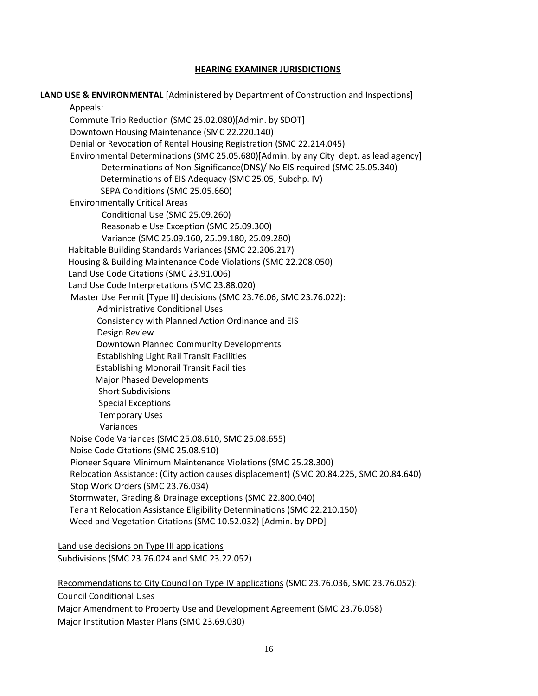## **HEARING EXAMINER JURISDICTIONS**

| LAND USE & ENVIRONMENTAL [Administered by Department of Construction and Inspections]   |
|-----------------------------------------------------------------------------------------|
| Appeals:                                                                                |
| Commute Trip Reduction (SMC 25.02.080)[Admin. by SDOT]                                  |
| Downtown Housing Maintenance (SMC 22.220.140)                                           |
| Denial or Revocation of Rental Housing Registration (SMC 22.214.045)                    |
| Environmental Determinations (SMC 25.05.680)[Admin. by any City dept. as lead agency]   |
| Determinations of Non-Significance(DNS)/ No EIS required (SMC 25.05.340)                |
| Determinations of EIS Adequacy (SMC 25.05, Subchp. IV)                                  |
| SEPA Conditions (SMC 25.05.660)                                                         |
| <b>Environmentally Critical Areas</b>                                                   |
| Conditional Use (SMC 25.09.260)<br>Reasonable Use Exception (SMC 25.09.300)             |
| Variance (SMC 25.09.160, 25.09.180, 25.09.280)                                          |
| Habitable Building Standards Variances (SMC 22.206.217)                                 |
| Housing & Building Maintenance Code Violations (SMC 22.208.050)                         |
| Land Use Code Citations (SMC 23.91.006)                                                 |
| Land Use Code Interpretations (SMC 23.88.020)                                           |
| Master Use Permit [Type II] decisions (SMC 23.76.06, SMC 23.76.022):                    |
| <b>Administrative Conditional Uses</b>                                                  |
| Consistency with Planned Action Ordinance and EIS                                       |
| Design Review                                                                           |
| Downtown Planned Community Developments                                                 |
| <b>Establishing Light Rail Transit Facilities</b>                                       |
| <b>Establishing Monorail Transit Facilities</b>                                         |
| <b>Major Phased Developments</b>                                                        |
| <b>Short Subdivisions</b>                                                               |
| <b>Special Exceptions</b>                                                               |
| <b>Temporary Uses</b>                                                                   |
| Variances                                                                               |
| Noise Code Variances (SMC 25.08.610, SMC 25.08.655)                                     |
| Noise Code Citations (SMC 25.08.910)                                                    |
| Pioneer Square Minimum Maintenance Violations (SMC 25.28.300)                           |
| Relocation Assistance: (City action causes displacement) (SMC 20.84.225, SMC 20.84.640) |
| Stop Work Orders (SMC 23.76.034)                                                        |
| Stormwater, Grading & Drainage exceptions (SMC 22.800.040)                              |
| Tenant Relocation Assistance Eligibility Determinations (SMC 22.210.150)                |
| Weed and Vegetation Citations (SMC 10.52.032) [Admin. by DPD]                           |
| Land use decisions on Type III applications                                             |
| Subdivisions (SMC 23.76.024 and SMC 23.22.052)                                          |
|                                                                                         |
| Recommendations to City Council on Type IV applications (SMC 23.76.036, SMC 23.76.052): |
| <b>Council Conditional Uses</b>                                                         |

 Major Amendment to Property Use and Development Agreement (SMC 23.76.058) Major Institution Master Plans (SMC 23.69.030)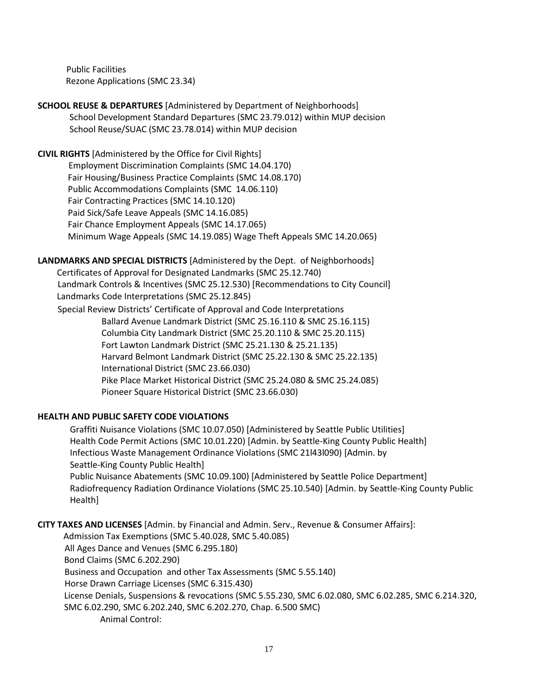Public Facilities Rezone Applications (SMC 23.34)

# **SCHOOL REUSE & DEPARTURES** [Administered by Department of Neighborhoods] School Development Standard Departures (SMC 23.79.012) within MUP decision School Reuse/SUAC (SMC 23.78.014) within MUP decision

**CIVIL RIGHTS** [Administered by the Office for Civil Rights]

Employment Discrimination Complaints (SMC 14.04.170) Fair Housing/Business Practice Complaints (SMC 14.08.170) Public Accommodations Complaints (SMC 14.06.110) Fair Contracting Practices (SMC 14.10.120) Paid Sick/Safe Leave Appeals (SMC 14.16.085) Fair Chance Employment Appeals (SMC 14.17.065) Minimum Wage Appeals (SMC 14.19.085) Wage Theft Appeals SMC 14.20.065)

# **LANDMARKS AND SPECIAL DISTRICTS** [Administered by the Dept. of Neighborhoods]

 Certificates of Approval for Designated Landmarks (SMC 25.12.740) Landmark Controls & Incentives (SMC 25.12.530) [Recommendations to City Council] Landmarks Code Interpretations (SMC 25.12.845)

Special Review Districts' Certificate of Approval and Code Interpretations Ballard Avenue Landmark District (SMC 25.16.110 & SMC 25.16.115) Columbia City Landmark District (SMC 25.20.110 & SMC 25.20.115) Fort Lawton Landmark District (SMC 25.21.130 & 25.21.135) Harvard Belmont Landmark District (SMC 25.22.130 & SMC 25.22.135) International District (SMC 23.66.030) Pike Place Market Historical District (SMC 25.24.080 & SMC 25.24.085) Pioneer Square Historical District (SMC 23.66.030)

# **HEALTH AND PUBLIC SAFETY CODE VIOLATIONS**

Graffiti Nuisance Violations (SMC 10.07.050) [Administered by Seattle Public Utilities] Health Code Permit Actions (SMC 10.01.220) [Admin. by Seattle-King County Public Health] Infectious Waste Management Ordinance Violations (SMC 21l43l090) [Admin. by Seattle-King County Public Health] Public Nuisance Abatements (SMC 10.09.100) [Administered by Seattle Police Department] Radiofrequency Radiation Ordinance Violations (SMC 25.10.540) [Admin. by Seattle-King County Public Health]

**CITY TAXES AND LICENSES** [Admin. by Financial and Admin. Serv., Revenue & Consumer Affairs]:

Admission Tax Exemptions (SMC 5.40.028, SMC 5.40.085) All Ages Dance and Venues (SMC 6.295.180) Bond Claims (SMC 6.202.290) Business and Occupation and other Tax Assessments (SMC 5.55.140) Horse Drawn Carriage Licenses (SMC 6.315.430) License Denials, Suspensions & revocations (SMC 5.55.230, SMC 6.02.080, SMC 6.02.285, SMC 6.214.320, SMC 6.02.290, SMC 6.202.240, SMC 6.202.270, Chap. 6.500 SMC) Animal Control: